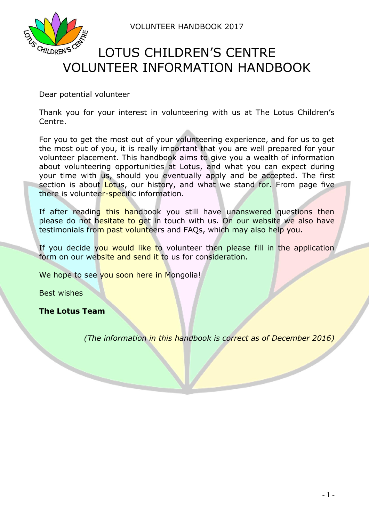VOLUNTEER HANDBOOK 2017



# LOTUS CHILDREN'S CENTRE VOLUNTEER INFORMATION HANDBOOK

Dear potential volunteer

Thank you for your interest in volunteering with us at The Lotus Children's Centre.

For you to get the most out of your volunteering experience, and for us to get the most out of you, it is really important that you are well prepared for your volunteer placement. This handbook aims to give you a wealth of information about volunteering opportunities at Lotus, and what you can expect during your time with us, should you eventually apply and be accepted. The first section is about Lotus, our history, and what we stand for. From page five there is volunteer-specific information.

If after reading this handbook you still have unanswered questions then please do not hesitate to get in touch with us. On our website we also have testimonials from past volunteers and FAQs, which may also help you.

If you decide you would like to volunteer then please fill in the application form on our website and send it to us for consideration.

We hope to see you soon here in Mongolia!

Best wishes

**The Lotus Team**

*(The information in this handbook is correct as of December 2016)*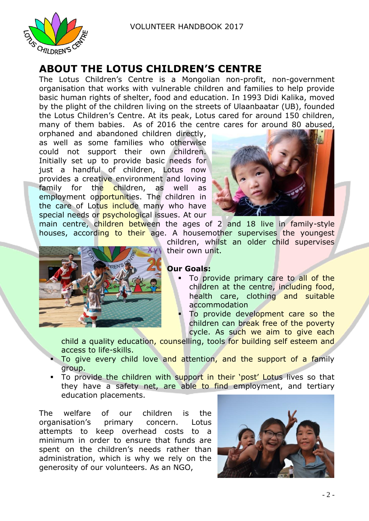

## **ABOUT THE LOTUS CHILDREN'S CENTRE**

The Lotus Children's Centre is a Mongolian non-profit, non-government organisation that works with vulnerable children and families to help provide basic human rights of shelter, food and education. In 1993 Didi Kalika, moved by the plight of the children living on the streets of Ulaanbaatar (UB), founded the Lotus Children's Centre. At its peak, Lotus cared for around 150 children, many of them babies. As of 2016 the centre cares for around 80 abused,

orphaned and abandoned children directly, as well as some families who otherwise could not support their own children. Initially set up to provide basic needs for just a handful of children, Lotus now provides a creative environment and loving family for the children, as well as employment opportunities. The children in the care of Lotus include many who have special needs or **psychological issues**. At our



main centre, children between the ages of 2 and 18 live in family-style houses, according to their age. A housemother supervises the youngest



children, whilst an older child supervises their own unit.

#### **Our Goals:**

- To provide primary care to all of the children at the centre, including food, health care, clothing and suitable accommodation
- To provide development care so the children can break free of the poverty cycle. As such we aim to give each

child a quality education, counselling, tools for building self esteem and access to life-skills.

- To give every child love and attention, and the support of a family group.
- To provide the children with support in their 'post' Lotus lives so that they have a safety net, are able to find employment, and tertiary education placements.

The welfare of our children is the organisation's primary concern. Lotus attempts to keep overhead costs to a minimum in order to ensure that funds are spent on the children's needs rather than administration, which is why we rely on the generosity of our volunteers. As an NGO,

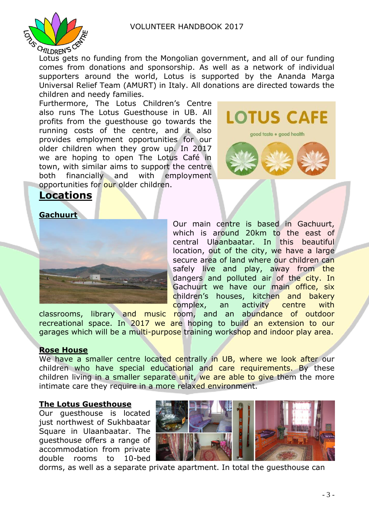

To CHILDREN'S CONTROLLANTS CONTROLLANTS CONTROLLANTS CHILDREN'S CONTROLLANT CHILDREN'S CONTROLLANT CONTROLLANT CONTROLLANT CONTROLLANT CONTROLLANT CONTROLLANT CONTROLLANT CONTROLLANT CONTROLLANT CONTROLLANT CONTROLLANT CON comes from donations and sponsorship. As well as a network of individual supporters around the world, Lotus is supported by the Ananda Marga Universal Relief Team (AMURT) in Italy. All donations are directed towards the children and needy families.

Furthermore, The Lotus Children's Centre also runs The Lotus Guesthouse in UB. All profits from the guesthouse go towards the running costs of the centre, and it also provides employment opportunities for our older children when they grow up. In 2017 we are hoping to open The Lotus Café in town, with similar aims to support the centre both financially and with employment opportunities for our older children.



## **Locations**



Our main centre is based in Gachuurt, which is around 20km to the east of central Ulaanbaatar. In this beautiful location, out of the city, we have a large secure area of land where our children can safely live and play, away from the dangers and polluted air of the city. In Gachuurt we have our main office, six children's houses, kitchen and bakery complex, an activity centre with

classrooms, library and music room, and an abundance of outdoor recreational space. In 2017 we are hoping to build an extension to our garages which will be a multi-purpose training workshop and indoor play area.

#### **Rose House**

We have a smaller centre located centrally in UB, where we look after our children who have special educational and care requirements. By these children living in a smaller separate unit, we are able to give them the more intimate care they require in a more relaxed environment.

#### **The Lotus Guesthouse**

Our guesthouse is located just northwest of Sukhbaatar Square in Ulaanbaatar. The guesthouse offers a range of accommodation from private double rooms to 10-bed



dorms, as well as a separate private apartment. In total the guesthouse can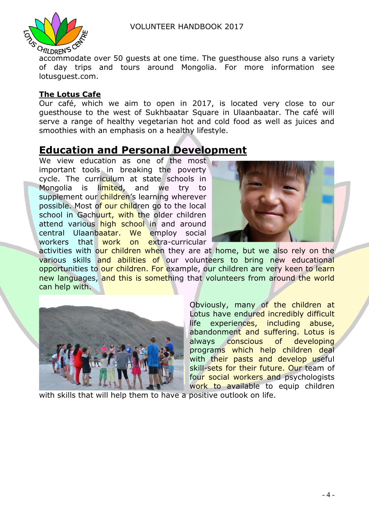

 $a_{\text{MILDREN}}$  is  $\alpha$ <br>accommodate over 50 quests at one time. The questhouse also runs a variety of day trips and tours around Mongolia. For more information see lotusguest.com.

#### **The Lotus Cafe**

Our café, which we aim to open in 2017, is located very close to our guesthouse to the west of Sukhbaatar Square in Ulaanbaatar. The café will serve a range of healthy vegetarian hot and cold food as well as juices and smoothies with an emphasis on a healthy lifestyle.

## **Education and Personal Development**

We view education as one of the most important tools in breaking the poverty cycle. The curriculum at state schools in Mongolia is limited, and we try to supplement our children's learning wherever possible. Most of our children go to the local school in Gachuurt, with the older children attend various high school in and around central Ulaanbaatar. We employ social workers that work on extra-curricular



activities with our children when they are at home, but we also rely on the various skills and abilities of our volunteers to bring new educational opportunities to our children. For example, our children are very keen to learn new languages, and this is something that volunteers from around the world can help with.



Obviously, many of the children at Lotus have endured incredibly difficult life experiences, including abuse, abandonment and suffering. Lotus is always conscious of developing programs which help children deal with their pasts and develop useful skill-sets for their future. Our team of four social workers and psychologists work to available to equip children

with skills that will help them to have a positive outlook on life.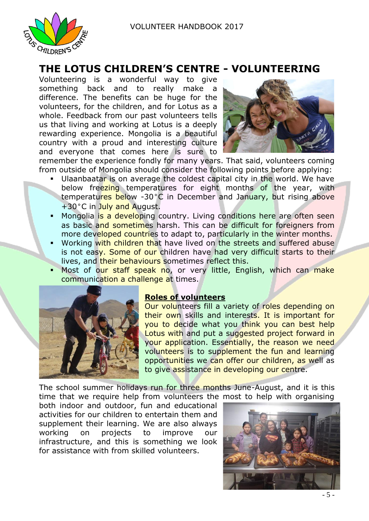

## **THE LOTUS CHILDREN'S CENTRE - VOLUNTEERING**

Volunteering is a wonderful way to give something back and to really make a difference. The benefits can be huge for the volunteers, for the children, and for Lotus as a whole. Feedback from our past volunteers tells us that living and working at Lotus is a deeply rewarding experience. Mongolia is a beautiful country with a proud and interesting culture and everyone that comes here is sure to



remember the experience fondly for many years. That said, volunteers coming from outside of Mongolia should consider the following points before applying:

- Ulaanbaatar is on average the coldest capital city in the world. We have below freezing temperatures for eight months of the year, with temperatures below -30°C in December and January, but rising above +30°C in July and August.
- Mongolia is a developing country. Living conditions here are often seen as basic and sometimes harsh. This can be difficult for foreigners from more developed countries to adapt to, particularly in the winter months.
- Working with children that have lived on the streets and suffered abuse is not easy. Some of our children have had very difficult starts to their lives, and their behaviours sometimes reflect this.
- Most of our staff speak no, or very little, English, which can make communication a challenge at times.



#### **Roles of volunteers**

Our volunteers fill a variety of roles depending on their own skills and interests. It is important for you to decide what you think you can best help Lotus with and put a suggested project forward in your application. Essentially, the reason we need volunteers is to supplement the fun and learning opportunities we can offer our children, as well as to give assistance in developing our centre.

The school summer holidays run for three months June-August, and it is this time that we require help from volunteers the most to help with organising

both indoor and outdoor, fun and educational activities for our children to entertain them and supplement their learning. We are also always working on projects to improve our infrastructure, and this is something we look for assistance with from skilled volunteers.

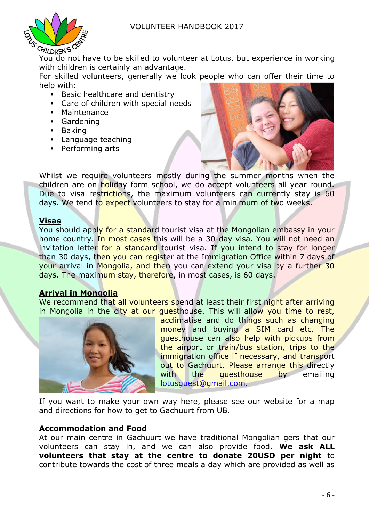

You do not have to be skilled to volunteer at Lotus, but experience in working with children is certainly an advantage.

For skilled volunteers, generally we look people who can offer their time to help with:

- **Basic healthcare and dentistry**
- Care of children with special needs
- Maintenance
- Gardening
- **Baking**
- **Language teaching**
- **Performing arts**



Whilst we require volunteers mostly during the summer months when the children are on holiday form school, we do accept volunteers all year round. Due to visa restrictions, the maximum volunteers can currently stay is 60 days. We tend to expect volunteers to stay for a minimum of two weeks.

#### **Visas**

You should apply for a standard tourist visa at the Mongolian embassy in your home country. In most cases this will be a 30-day visa. You will not need an invitation letter for a standard tourist visa. If you intend to stay for longer than 30 days, then you can register at the Immigration Office within 7 days of your arrival in Mongolia, and then you can extend your visa by a further 30 days. The maximum stay, therefore, in most cases, is 60 days.

#### **Arrival in Mongolia**

We recommend that all volunteers spend at least their first night after arriving in Mongolia in the city at our questhouse. This will allow you time to rest,



acclimatise and do things such as changing money and buying a SIM card etc. The guesthouse can also help with pickups from the airport or train/bus station, trips to the immigration office if necessary, and transport out to Gachuurt. Please arrange this directly with the questhouse by emailing [lotusguest@gmail.com.](mailto:lotusguest@gmail.com)

If you want to make your own way here, please see our website for a map and directions for how to get to Gachuurt from UB.

#### **Accommodation and Food**

At our main centre in Gachuurt we have traditional Mongolian gers that our volunteers can stay in, and we can also provide food. **We ask ALL volunteers that stay at the centre to donate 20USD per night** to contribute towards the cost of three meals a day which are provided as well as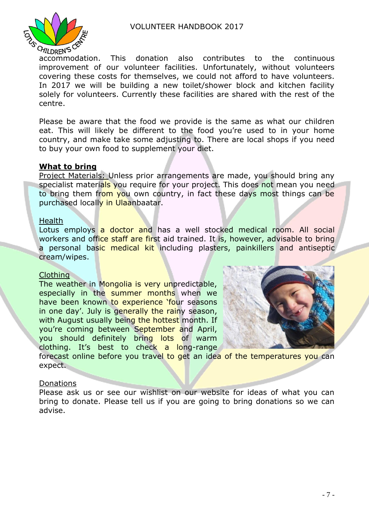

 $\sigma_{\text{MLDREN}}$  is the contributes to the continuous accommodation. This donation also contributes to the continuous improvement of our volunteer facilities. Unfortunately, without volunteers covering these costs for themselves, we could not afford to have volunteers. In 2017 we will be building a new toilet/shower block and kitchen facility solely for volunteers. Currently these facilities are shared with the rest of the centre.

Please be aware that the food we provide is the same as what our children eat. This will likely be different to the food you're used to in your home country, and make take some adjusting to. There are local shops if you need to buy your own food to supplement your diet.

#### **What to bring**

Project Materials: Unless prior arrangements are made, you should bring any specialist materials you require for your project. This does not mean you need to bring them from you own country, in fact these days most things can be purchased locally in Ulaanbaatar.

#### Health

Lotus employs a doctor and has a well stocked medical room. All social workers and office staff are first aid trained. It is, however, advisable to bring a personal basic medical kit including plasters, painkillers and antiseptic cream/wipes.

#### Clothing

The weather in Mongolia is very unpredictable, especially in the summer months when we have been known to experience 'four seasons in one day'. July is generally the rainy season, with August usually being the hottest month. If you're coming between September and April, you should definitely bring lots of warm clothing. It's best to check a long-range



forecast online before you travel to get an idea of the temperatures you can expect.

#### **Donations**

Please ask us or see our wishlist on our website for ideas of what you can bring to donate. Please tell us if you are going to bring donations so we can advise.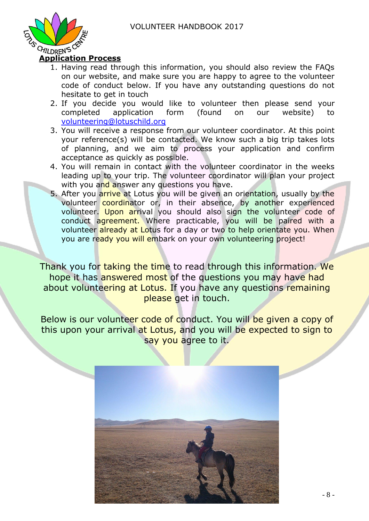

#### 1. Having read through this information, you should also review the FAQs on our website, and make sure you are happy to agree to the volunteer code of conduct below. If you have any outstanding questions do not hesitate to get in touch

- 2. If you decide you would like to volunteer then please send your completed application form (found on our website) to [volunteering@lotuschild.org](mailto:volunteering@lotuschild.org)
- 3. You will receive a response from our volunteer coordinator. At this point your reference(s) will be contacted. We know such a big trip takes lots of planning, and we aim to process your application and confirm acceptance as quickly as possible.
- 4. You will remain in contact with the volunteer coordinator in the weeks leading up to your trip. The volunteer coordinator will plan your project with you and answer any questions you have.
- 5. After you arrive at Lotus you will be given an orientation, usually by the volunteer coordinator or, in their absence, by another experienced volunteer. Upon arrival you should also sign the volunteer code of conduct agreement. Where practicable, you will be paired with a volunteer already at Lotus for a day or two to help orientate you. When you are ready you will embark on your own volunteering project!

Thank you for taking the time to read through this information. We hope it has answered most of the questions you may have had about volunteering at Lotus. If you have any questions remaining please get in touch.

Below is our volunteer code of conduct. You will be given a copy of this upon your arrival at Lotus, and you will be expected to sign to say you agree to it.